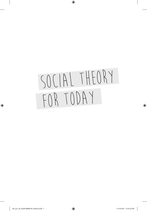# Social Theory FOR TODAY

 $\bigoplus$ 

 $\bigoplus$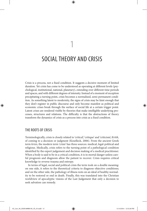1

⊕

Crisis is a process, not a fixed condition. It suggests a decisive moment of limited duration. Yet crisis has come to be understood as operating at different levels (psychological, institutional, national, planetary), extending over different time periods and spaces, and with different degrees of intensity. Instead of a moment of exception precipitating a turning point, crisis becomes a normalised, semi-permanent condition. As something latent to modernity, the signs of crisis may be faint enough that they don't register in public discourse and only become manifest as political and economic crises break through the surface of social life at a certain trigger point. Latent crises are rendered visible by theories that make intelligible underlying processes, structures and relations. The difficulty is that the abstractions of theory transform the dynamics of crisis as a process into crisis as a fixed condition.

# THE ROOTS OF CRISIS

◈

Terminologically, crisis is closely related to 'critical', 'critique' and 'criticism', *Kritik*, of coming to a decision or judgment (Koselleck, 2006). From the ancient Greek term *krisis*, the modern term 'crisis' has three sources: medical, legal-political and religious. Medically, crisis refers to the turning point of a pathological condition identified by the expert judgement and decision making of a medical practitioner. When a body is said to be in a critical condition, it is in mortal danger unless careful prognosis and diagnosis allow the patient to recover. Crisis requires critical knowledge to reverse trauma and entropy.

In terms of legal, social and political crisis the term took on a double meaning: on one side, it refers to the theoretical criteria to diagnose objective conditions; and on the other side, the pathology of illness rests on an ideal of healthy normality to be restored or end in death. Finally, this was translated into the Christian worldview of apocalyptic visions of the Last Judgement that only a decision to seek salvation can remedy.

02\_Law\_Stt\_BAB1408B0158\_Ch\_01.indd 13 11/14/2014 12:52:26 PM

◈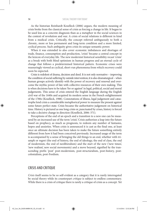⊕

As the historian Reinhardt Koselleck (2006) argues, the modern meaning of crisis broke from the classical sense of crisis as forcing a change in life. It began to be used less as a concrete diagnosis than as a metaphor in the social sciences in the context of revolution and war. A crisis of social relations is different in kind from a medical crisis. Critically, the concept referred ambiguously to both a chronic, more or less permanent and long-term condition and a more limited, cyclical process. Such ambiguity gives crisis its unique semantic power.

When it was extended to also cover economic imbalances and shortages of trade, finance, consumption and production, 'crisis' became a central concept in the lexicon of everyday life. The new modernist historical sensibility recast 'crisis' as a break with both blind optimism in human progress and an eternal cycle of change that follows a predetermined historical pattern. Economic crises were reassuringly viewed as cyclical, short-run phenomena from which recovery could soon be expected.

Crisis is redolent of drama, decision and deed. It is not only normative – improving the condition of social suffering by outside intervention; it is also dramaturgical – when human groups actively identify with the power of recovery and renewal and overcome the mythic power of fate with collective resources of their own making. This is when decisions have to be taken 'for or against' in legal, political, social and moral judgements. This sense of crisis entered the English language during the English civil war of the 1640s and acquired its modern sense in the French enlightenment of the 1780s (Koselleck, 1988). Connotations of illness, legal judgement and catastrophe lend crisis a considerable metaphorical power to measure the present against some future perfect state. Crisis became the authoritative judgement on historical time. History is pictured as one long crisis or, punctuated by crises, history is forced to take a decisive change in direction (Koselleck, 2006: 371).

Perceptions of the end of an epoch and a transition to a new one can be measured by an increased use of the term 'crisis'. Crisis authorises a leap into the future based on prophecy, as much as prognosis, to redeem any number of fantasies, hopes and anxieties. When crisis is announced it is cast as the final one, at least once an ultimate decision has been taken to make the future something entirely different from how it had been conceived previously. Increased usage of the term is accompanied by a sense of bringing the old things to an end, whether with triumph or regret (the end of history, the end of ideology, the end of class, the end of modernism, the end of neoliberalism) and the start of the new ('new times', 'new realism', new social movements) and a move beyond, signified by the transcending prefix 'post' post-modernism, post-structuralism, post-history, postcolonialism, post-Fordism.

# CRISIS AND CRITIQUE

*Crisis* itself seems to be so self-evident as a category that it is rarely interrogated by social theory while its counterpart *critique* is subject to endless commentary. While there is a crisis of critique there is rarely a critique of crisis as a concept. Yet

⊕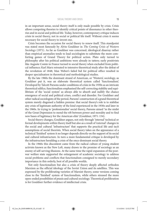⊕

in an important sense, social theory itself is only made possible by crisis. Crisis allows competing theories to identify critical points of dissonance in other theories and in social and political life. Today, however, contemporary critique induces crisis in social theory, not in social or political life itself. Without crisis it seems necessary for social theory to invent one.

Crisis becomes the occasion for social theory to renew itself. This standpoint was stated most famously by Alvin Gouldner in *The Coming Crisis of Western Sociology* (1971). As far as Gouldner was concerned, ideological disarray rather than empirical anomalies tends to lead sociologists to substitute the more comforting games of Grand Theory for political action. Plato only turned to philosophy after his political ambitions were already in tatters; early positivists like Auguste Comte in France turned to social theory when excluded from political influence; Karl Marx retreated to intensive theoretical study after the defeat of the revolution of 1848; Max Weber's failed bid for political office resulted in deeper specialisation in theoretical and methodological studies.

By the late 1960s the dominant strand of American, or 'Western', sociology, as Gouldner put it, was an elaborate theoretical system called 'functionalism'. Developed by Talcott Parsons under conditions of crisis in the 1930s as an intricate theoretical edifice, functionalism emphasised the self-correcting stability and equilibrium of the 'social system' as always able to absorb and nullify the chance emergence of social and political crises, conflict and disorder. For Gouldner and other radical sociologists of the period, Parsons' construction of a grand theoretical system merely disguised a hidden premise: that social theory's role is to stabilise any crisis of legitimate authority of the kind experienced in the 1930s and later in the 1960s. In trying to 'professionalise' social theory, Parsons aimed 'in the midst of the Great Depression to mend the rift between power and morality and to find new bases of legitimacy for the American elite' (Gouldner, 1971: 154).

Social theory changes, Gouldner argues, not only through 'internal' technical or formal developments within theory itself but also as a result of 'external' changes in the social and cultural 'infrastructure' that supports the practical life and tacit assumptions of social theorists. When social theory takes on the appearance of a technical 'finished' system it no longer depends directly on the support of its social and cultural infrastructure. In turn a more fundamental critique is developed by the infrastructure heralding a crisis of the once-dominant social theory.

In the 1960s this discontent came from the radical culture of young student activists known as the New Left, many drawn to the promise of sociology as an enemy of self-serving illusions. At the same time the rapid expansion of the postwar welfare state supported the enlargement of academic sociology to address social problems and conflicts that functionalism consigned to merely secondary importance in this orderly, best of all possible worlds.

Not only functionalism but also a crisis of theory deeply affected orthodox Marxism as the official ideology of the Soviet Union and its satellites. This was expressed by the proliferating varieties of Marxist theory, some versions coming close to the 'finished' system of functionalism, while others stressed the more open-ended possibilities of praxis and cultural sociology. Theoretical proliferation is for Gouldner further evidence of intellectual crisis.

⊕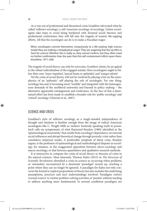⊕

As a way out of professional and theoretical crisis Gouldner advocated what he called 'reflexive sociology', a self-conscious sociology of sociology. Unless sociologists take steps to avoid being burdened with doomed social theories and professional conformism they will fall into the tragedy of wasted, life-sapping efforts. All that the sociologist can do is to make a Pascalian wager:

When sociologists commit themselves compulsively to a life-wasting high science model they are making a metaphysical wager. They are wagering that the sacrifice is 'best for science'. Whether this is really so, they cannot confirm, but they often need no further confirmation than the pain that this self-containment inflicts upon them. (Gouldner, 1971: 506)

The tragedy of social theory can only be overcome, Gouldner claims, by an appeal to the robust individualism of the engaged scholar. Here sociologists ought to follow their own 'inner impulses', 'special bents or aptitudes', and 'unique talents'.

Yet the crisis of social theory will not be resolved by placing a bet on the metaphysics of an 'authentic' self playing the role of sociologist. For one thing, sociology has and is becoming more 'worldly' and integrated with the heterogeneous demands of the neoliberal university and beyond in policy making – the alternative apparently estrangement and irrelevance. In the face of this a determined effort has been made to establish a broader role for 'public sociology' and 'critical' sociology (Clawson et al., 2007).

# SCIENCE AND CRISIS

⊕

Gouldner's style of reflexive sociology as a tough-minded independence of thought and intuition is familiar enough from the image of radical American sociologists like C. Wright Mills as 'outlaws' fearlessly speaking truth to power. Such calls are symptomatic of what Raymond Boudon (1980) identified as the 'epistemological uncertainty' that results from sociology's dependency on external social influences and abrupt theoretical change through periodic crisis rather than cumulative empirical results. A predictable symptom of latent crisis, Boudon argues, is the profusion of epistemological and methodological disputes in sociology, for instance, in the exaggerated opposition between micro-sociology and macro-sociology, or that between quantitative and qualitative research methods.

It is instructive to compare the crisis of social theory to theories of crisis in the natural sciences. Most famously, Thomas Kuhn (2012) in *The Structure of Scientific Revolutions* identified a crisis in science as occurring when problems or 'anomalies' encountered by a dominant 'paradigm' mount up, reaching a point where they can no longer be ignored. A paradigm for Kuhn not only concerns the formal or explicit propositions of theory but also includes the underlying assumptions, practices and tacit understandings involved. Paradigms restrict 'normal science' to routine problem-solving activities or 'puzzles' without needing to address anything more fundamental. In normal conditions paradigms are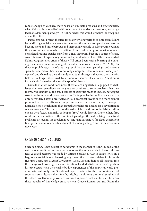⊕

robust enough to displace, marginalise or eliminate problems and discrepancies, what Kuhn calls 'anomalies'. With its variety of theories and methods, sociology lacks one dominant paradigm (in Kuhn's sense) that would structure the discipline as a unified field.

Paradigms will protect theories for relatively long periods of time from failure by sacrificing empirical accuracy for increased theoretical complexity. As theories become more and more baroque and increasingly unable to solve routine puzzles they also become vulnerable to critique from rival paradigms. What were once considered routine puzzles may from a rival viewpoint become a source of crisis. An acute sense of explanatory failure and a proliferation of novel theories are what Kuhn recognises as a 'crisis' of theory: 'All crises begin with a blurring of a paradigm and consequent loosening of the rules for normal research' (2012: 84). As theories proliferate, crisis relaxes the grip of the dominant paradigm and opens a space for alternative theories to not only emerge but also to be more widely recognised and shared as a valid standpoint. With divergent theories, the scientific field is no longer structured by a common source of authority. Attention is increasingly focused on the 'trouble spots' of theory.

Outside of crisis conditions novel theories are singularly ill-equipped to challenge dominant paradigms so long as they continue to solve problems that they themselves establish as the core business of scientific practice. Indeed, paradigms structure the very worldview that makes 'facts' possible in the first place and are only surrendered after a protracted crisis. Theoretical invention is a more painful process than factual discovery, requiring a severe crisis of theory to conquer normal science. Much more than factual anomalies are needed for a revolution in science to occur. Theories are not discarded lightly and cannot be falsified all in one go by a factual anomaly, as Popper (1992) would have it. Crises either, first, result in the restoration of the dominant paradigm through solving recalcitrant problems, or, second, the problem is put aside and suspended for a later generation; finally, the revolutionary establishment of a new paradigm solves the crisis in a novel way.

# CRISIS OF SENSATE CULTURE

Since sociology is not subject to paradigms in the manner of Kuhn's model of the natural sciences it makes more sense to locate theoretical crisis in historical context. A grand attempt was made by Pitirim Sorokin (1992) to situate crisis in a large-scale social theory. Amassing huge quantities of historical data for his multivolume *Social and Cultural Dynamics* (1985), Sorokin divided all societies into three stages of knowledge – sensate, ideational and idealistic. A 'sensate' epoch in history occurs when the sensible bodily experiences of the empirical world predominate culturally; an 'ideational' epoch refers to the predominance of supersensory cultural values; finally, 'idealistic' culture is a rational synthesis of the other two. Essentially, Western culture has passed back and forward between these epochs of knowledge since ancient Graeco-Roman culture. From the

◈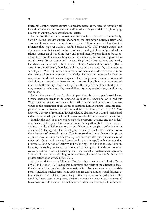⊕

thirteenth century sensate culture has predominated as the pace of technological invention and scientific discovery intensifies, stimulating empiricism in philosophy, nihilism in culture, and materialism in society.

By the twentieth century, 'sensate culture' was in serious crisis. Theoretically, Sorokin claims, sensate culture abandoned the distinction between truth and error, and knowledge was reduced to expedient arbitrary constructs based on the principle that whatever works is useful. Sorokin (1992: 100) protests against the disenchantment that sensate culture produces, making all knowledge and values relative, genius an object of mockery, and moral integrity something to be suspicious about. Sorokin was scathing about the mediocrity of his contemporaries in social theory: 'Since Comte and Spencer, Hegel and Marx, Le Play and Tarde, Durkheim and Max Weber, Simmel and Dilthey, Pareto and de Roberty [1843– 1915, Russian positivist], there has hardly appeared a name worthy of mention in sociology' (1992: 104). Intellectual decline was taken as evidence of the crisis in the theoretical system of sensory knowledge. Despite the resources lavished on economics the dismal science singularly failed to prevent recurring crises and declining measures of happiness and security. Sorokin pile up the symptoms of mid-twentieth-century crisis resulting from the empiricism of sensate dogma – war, revolution, crime, suicide, mental illness, tyranny, exploitation, fraud, force, and so on.

Behind the welter of data, Sorokin adopted the role of a prophetic sociologist. Sensate sociology needs to be tempered by ideational sociology. Crisis had put Western culture at a crossroads – either further decline and decadence of human values or the restoration of ideational or idealistic human culture. From his comparative historical analysis of the rise and fall of cultures, Sorokin (1992: 260) delivered a theory of revolution through what he claimed was a 'sound sociological induction', summed up in the formula 'crisis-ordeal-catharsis-charisma-resurrection'.

Initially, the crisis is drawn out as material prosperity declines and the 'ordeal' of a brutal, violent period is endured under failing attempts to reform sensate culture. As cultural failure appears irreversible to many people, a collective sense of 'catharsis' places greater faith in a higher, eternal spiritual culture in contrast to the ephemera of material culture. This is consolidated by a 'charismatic' phase organised around a more stable belief system based on altruism, duty, norms and universal solidarity. Society is 'resurrected' as an 'integral', stable system that promises a long period of security and belonging. Yet it is not so easy, Sorokin laments, for society to learn from the medical metaphor of crisis and to enter recovery without first experiencing the fiery ordeal of violent disintegration. Sensate cultures stubbornly cling to 'momentary pleasures' even as 'an infinitely greater catastrophe' awaits (1992: 263).

A late-twentieth-century follower of Sorokin, theoretical physicist Fritjof Capra (1982), in his book *The Turning Point*, captured the spirit of the alternative ideational system to the ongoing crisis of sensate culture. Numerous symptoms of crisis persist, including nuclear arms, large-scale hunger, toxic pollution, social disintegration, violent crime, suicide, income inequalities, and other social pathologies. Like Sorokin, Capra takes a long-term, dynamic perspective of crisis as a process of transformation. Modern transformation is more dramatic than any before, because

⊕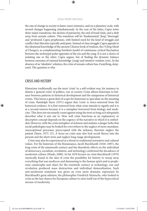⊕

the rate of change in society is faster, more extensive, and on a planetary scale, with several changes happening simultaneously. In the case of the latter, Capra notes three major transitions: the decline of patriarchy, the end of fossil-fuels, and a shift away from sensate culture. This transition will be 'fundamental', 'deep', 'thorough' and 'profound', Capra prophesises, with limited need for the kind of struggle and conflict that Marxists typically anticipate. Instead of class struggle Capra appeals to the ideational knowledge of the ancient Chinese book of wisdom, the *I Ching* (*Book of Changes*), as complementing Sorokin's model of continuous cyclical fluctuation between the archetypal polar opposites of the yin and the yang. It is not a choice of isolating one or the other, Capra argues, but of finding the dynamic balance between extremes of rational knowledge (yang) and intuitive wisdom (yin). In the absence of an 'idealistic' solution, the crisis of sensate culture has, if anything, deepened. The question is why.

### CRISIS AND HISTORY

⊕

Historians traditionally use the term 'crisis' in a self-evident way, for instance to denote a 'general crisis' of politics, war or society. Crisis allows historians to balance between patterns in historical development and the uniqueness of historical events. This leaves a great deal of scope for historians to speculate on the meaning of crisis. Randolph Starn (1971) argues that 'crisis' is twice-removed from the historical evidence. It is first removed from what crisis intends to signify and it is at a second-remove because it is a metaphor borrowed from biology and medicine. This does not necessarily count against using the term so long as it adequately describes what it sets out to. How well crisis functions as an explanatory or descriptive concept depends on the cogency of the narrative in which it is embedded. However, with the crisis metaphor of sickness and malaise a danger lurks that social pathologies may be looked for everywhere to the neglect of more mundane, unexceptional processes: preoccupied with the sickness, theorists neglect the patient (Starn, 1971: 21). A focus on crisis may also lock social theory into the present and the short term and neglect long-range developments.

Crisis may also be experienced as a threat to traditional normative and cultural values. For the historian of the Renaissance, Jacob Burckhardt (1818–1897), the long crisis of the nineteenth century and the disorderly effects on the individual of democracy, socialism, revolution, and technology confirmed the decadence of modernist culture (Hinde, 2000). In his 1870 lecture on crisis Burckhardt (1979) mystically found in the idea of crisis the possibility for history to sweep away everything that was mediocre and demeaning to the human spirit and to prophesise catastrophe and chaos for the twentieth century as technology, war and revolution produced mass destruction and individual demoralisation. Such anti-modernist sentiment was given an even more dramatic expression by Burckhardt's great admirer, the philosopher Friedrich Nietzsche, who looked to crisis as the last chance for European culture to raise itself out of the hypocritical morass of modernity.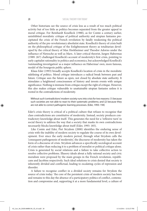⊕

Other historians see the source of crisis less as a result of too much political activity but of too little as politics becomes separated from the greater appeal to moral critique. For Reinhardt Koselleck (1988), as for Comte a century earlier, uninhibited moralistic critique of political authority and utopian fantasies precipitated the crisis of the French revolution by fatally weakening the political authority of the pre-revolutionary absolutist state. Koselleck's theory of crisis built on the philosophical critique of the Enlightenment theory as totalitarian developed by the critical theory of Max Horkheimer and Theodor Adorno under the influence of Nietzsche as well as Marx. A later critical theorist, Jurgen Habermas (1989: 267) challenged Koselleck's account of modernity's first crisis, pointing to early capitalist rationality in politics and economics, but acknowledged Koselleck's 'outstanding investigation' as a major influence on Habermas' own, more famous, model of the bourgeois public sphere.

Klaus Eder (1993) broadly accepts Koselleck's location of crisis in the moralistic sidelining of politics. Moral critique introduces a radical break between past and future. Critique sees the future as open, not closed by absolute state authority. It stimulates a heightened consciousness of history and invests events with unique significance. Nothing is immune from critique except the right of critique. However, this also makes critique vulnerable to unattainable utopian fantasies unless it is rooted in the contradictions of modernity.

Without such 'contradictions' modern society runs into crisis for two reasons: (1) because such societies are not able to react to their systematic problems; and (2) because they are not able to correct pathogenic learning processes. (Eder, 1993: 194)

Eder's crisis theory is critical of a political culture that refuses to recognise that class contradictions are constitutive of modernity. Instead, society produces contradictory knowledge about itself. This generates the need for a 'reflexive turn' in social theory to address the way that a society that masks its own contradictions necessarily blocks knowledge about itself (Eder, 1993: 185).

Like Comte and Eder, Piet Strydom (2000) identifies the enduring sense of crisis with the inability of modern society to regulate the course of its own development. Ever since the early modern period, through what Strydom calls the 'consequent pathogenesis of modernity', the discourse of modernity has taken the form of a discourse of crisis. Strydom advances a specifically sociological account of crisis rather than reducing it to a problem of moralist or political critique alone. Crisis is generated by social relations and a failure to take collective action to resolve collective problems. Illusory ideals about a fully rational society and civic moralism were proposed by the main groups in the French revolution, republicans and Jacobins respectively. Such ideal solutions to crisis denied that society is inherently divided and conflictual, leading to escalating cycles of repression and disorder.

A failure to recognise conflict in a divided society remains for Strydom the source of crisis today: 'the core of the persistent crisis of modern society has been and remains to this day the absence of a participatory politics of conflict, contestation and compromise and, supporting it at a more fundamental level, a culture of

⊕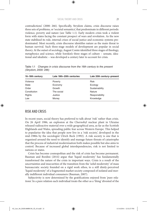⊕

contradictions' (2000: 266). Specifically, Strydom claims, crisis discourse raises three sets of problems, or 'societal semantics', that predominate in different periods: violence, poverty and nature (see Table 1.1). Early modern crisis took a violent form with states facing the constant prospect of wars and revolution. As the new state stabilised its rule, internal crises of social justice and economic systems predominated. Most recently, crisis discourse identifies nature as the main threat to human survival. Such three-stage models of development are popular in social theory. At the outset of sociology, August Comte identified three stages of theology, metaphysics and science, while Sorokin's three stages of culture – sensate, ideational and idealistic – was developed a century later to account for crisis.

| 16-18th century | Late 18th-20th centuries | Late 20th century-present |  |
|-----------------|--------------------------|---------------------------|--|
| Violence        | Poverty                  | <b>Risk</b>               |  |
| <b>State</b>    | Economy                  | Ecology                   |  |
| Order           | Growth                   | Sustainability            |  |
| Constitution    | The social               | Nature                    |  |
| <b>Rights</b>   | Justice                  | Responsibility            |  |
| Law             | Money                    | Knowledge                 |  |

Table 1.1 *Changes in crisis discourse from the 16th century to the present (Strydom, 2000: 286)*

# RISK AND CRISIS

◈

In recent years, social theory has preferred to talk about 'risk' rather than crisis. On 26 April 1986, an explosion at the Chernobyl nuclear plant in Ukraine released radioactive material over a wide geographical area, as far as the Scottish Highlands and Wales, spreading public fear across Western Europe. This helped to popularise the idea that people now live in a 'risk society', developed in the mid-1980s by the sociologist Ulrich Beck (1992). A risk society is one that is organised around the need to identify and manage future threats of catastrophe that the process of industrial modernisation both makes possible but also aims to control. Because of increased global interdependencies, risk is not limited to nations or states.

Crisis has become cosmopolitan and the risk of crisis has become permanent. Bauman and Bordini (2014) argue that 'liquid modernity' has fundamentally transformed the nature of the crisis in important ways. Crisis is a result of the uncertainties and insecurities of the transition from the 'solid modernity' of mass bureaucratic society founded on a rigid work ethos, to a still dimly-perceived 'liquid modernity' of a fragmented market society composed of isolated and morally indifferent individual consumers (Bauman, 2007).

Subjectivity is now determined by the gratifications enjoyed from 'pure relations'. In a pure relation each individual treats the other as a 'thing' divested of the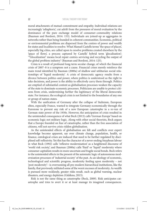⊕

moral attachments of mutual commitment and empathy. Individual relations are increasingly 'adiaphoric', cut adrift from the pressures of moral evaluation by the dominance of the pure exchange model of consumer–commodity relations (Bauman and Bordoni, 2014: 153). Individuals are joined-up as aggregates in networks rather than being founded in coherent communities. Economic, political or environmental problems are dispersed from the centres of power and wealth for states and localities to resolve. What Manuel Castells terms 'the space of places', especially big cities, are called upon to resolve problems created elsewhere by the 'space of flows', a process captured by Castells' hybrid term 'glocalisation': '"Glocalization" means local repair centres servicing and recycling the output of the global problem industry' (Bauman and Bordoni, 2014: 125).

Crisis is a result of profound long-term secular change, of which the financial crisis of 2007–8 is a symptom not a cause. Financial crises merely reinforce the main trend identified by Bauman (2000a) of shallow and utilitarian social relationships of 'liquid modernity'. A crisis of democratic agency results from a divorce between politics and power, where politics is understood as the right to take decisions, and power is the ability to effectively carry them through. Politics are emptied of substantial content as globalisation processes weaken the capacity of the state to dominate economic processes. Politicians are unable to protect citizens from crisis, undermining further the legitimacy of the liberal democratic state. For instance, the ecological crisis is not limited to the boundaries of any one or group of nation-states.

With the unification of Germany after the collapse of Stalinism, European elites, especially France, wanted to integrate Germany economically through the Eurozone to prevent any risk of a new European catastrophe in a re-run of German state power of the 1930s. However, the anticipation of crisis resulted in the unintended consequence of what Beck (2013) calls 'German Europe' based on economic logic not military logic. Along with other social theorists, Beck argues that a Europe founded on fear of catastrophe, rather than the free association of citizens, will not survive crisis-ridden globalisation.

As the unintended effects of globalisation are felt and conflicts over expert knowledge become apparent, say over climate change, population, health, or finance, ontological crises are induced that need to be further regulated by disciplined self-reflexivity. Yet this has the character of a never-ending Sisyphean labour in what Beck (1992) calls 'reflexive modernisation' as a heightened discourse of 'world risk society', and Bauman (2000a) calls 'fluid' or 'liquid' modernity where consumer capitalism results in more uncertain and fragile social bonds. Beck refers to the unintended effects in the present of the automatic logic of autonomous modernisation processes of 'industrial society' of the past. As an ideology of economic, technological and scientific progress, modernity feeding upon modernity – not 'post-modernity'– is overrunning all pre-modern hierarchical institutions, like the family, that previously militated some of the worst excesses of modernity. As wealth is pursued more recklessly, greater risks result, such as global warning, nuclear disasters, and energy depletion (Giddens, 2013).

Risk is not the same thing as catastrophe (Beck, 2009). Risk anticipates catastrophe and tries to avert it or at least manage its imagined consequences.

⊕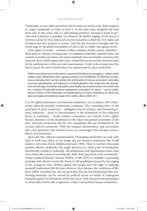⊕

Catastrophe occurs when perceived risk becomes an actual event. Risk imagines or 'stages' catastrophe in order to avert it. At the same time, imagined risk feels more real. In this sense, risk is a 'self-refuting prophecy' because it wants to prevent what it predicts as possible. For instance, the global 'staging' of the threat of terrorist actions by the media and security industries curtail the civil rights and freedoms that they purport to protect. And the star terrorist is brought onto the world stage by the global anticipation of risk in the so-called 'war against terror'.

Every aspect of society – economy, politics, intimacy, family, science, education – finds itself at a decisive turning point. As industrial modernity imposed order and control on people and nature, the more insistently that uncertainty and insecurity returned. Beck (2009) argues that 'crisis' is both the correct and the incorrect term for the ambivalences of the new risk consciousness. 'Crisis' is the wrong term if by that is meant the end of modernity or its supercession by 'post-modernity':

All the 'crisis phenomena' with which countries of the West are struggling – reform of the welfare state, falling birth rates, ageing societies, loss of definition of national societies, mass unemployment, not to mention the self-doubts of science and expert rationality, economic globalization and advances in individualization that undermine the foundations of marriage, the family and politics, and, finally, the environmental crisis which calls for a revision of industrial society's exploitative conception of nature – can be understood in terms of the distinction as transformations of basic institutions in which the basic principles of modernity retain their validity. (Beck, 2009: 231)

It is the global dominance of industrial modernity, not its failure, that undermines taken-for-granted institutional certainties. The continuing force of the principles of 'more-modernity' – ambiguity, loss of certainty, and increased personal reflexivity – leads to discontinuities in the institutions of the industrial forms of modernity – family, politics, economies, and nations. Crisis rightly focuses attention on the dissolution of the taken-for-granted certainties of the first, *industrial* modernity and the new inequalities that are threatened by the second, *reflexive* modernity. With the rampant disorientation and uncertainty that crisis produces, anti-modern forces are encouraged that threaten science, liberty and democracy.

Beck calls this 'reflexive modernisation'. Triumphant modernity can only refer back to itself since there are no longer any pre-modern institutions that it still needs to overcome (Beck, Giddens and Lash, 1994). There is nowhere that exists outside reflexive modernity that might function as a fixed point of orientation, theoretically, socially or politically. All justifications and legitimations must come from within the resources of modernity itself. Beck goes back to the seventeenthcentury political theorist Thomas Hobbes (1588–1679) to establish a grounding principle with which to resist the threat of self-annihilation posed by the staging of the ecological crisis. Hobbes argued that people have the right to challenge powerful institutions like the state wherever they threaten the conditions of life. Beck (2009) translates this into the principle that the life-threatening risks confronting humanity can be averted by political action on behalf of endangered humanity against the limitations of the state form. Only the perceived anticipation of catastrophe will be able to galvanise a fully cosmopolitan human community.

⊕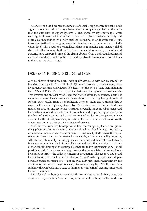⊕

Science, not class, becomes the new site of social struggles. Paradoxically, Beck argues, as science and technology become more completely globalised the more that the authority of expert systems is challenged by lay knowledge. Until recently, Beck assumed that welfare states had replaced material poverty and acute class inequalities with individualised claims based on identity and status. Class domination has not gone away but its effects are experienced at an individual level. This requires personalised plans to rationalise and manage global risk, not collective organisations like trade unions. More recently, recession and austerity have tempered some of the claims about reflexive individualisation and material abundance, and forcibly returned the structuring role of class relations to the concerns of sociology.

# FROM CAPITALIST CRISIS TO IDEOLOGICAL CRISIS

A social theory of crisis has been traditionally associated with various strands of Marxism, starting with Marx (1818–1883)himself, through to critical theory, notably Jurgen Habermas' and Claus Offe's theories of the crisis of state legitimation in the 1970s and 1980s. Marx developed the first social theory of system-wide crisis. This inverted the philosophy of Hegel that viewed crisis as, in essence, a crisis of ideas into a crisis of social and material conditions. In the Hegelian philosophical system, crisis results from a contradiction between thesis and antithesis that is reconciled in a new, higher synthesis. For Marx crisis consists of unresolved contradictions of social and economic structures, especially the conflict between social knowledge embodied in the forces of production and its private appropriation in the form of wealth by unequal social relations of production. People experience crises in the threat that private appropriation of social labour in the form of wealth or weapons poses to their social and material survival.

Marx derived from his philosophical milieu, the Young Hegelians, a critique of the gap between dominant representations of reality – freedom, equality, justice, cooperation, public good, love of humanity – and reality itself, where the representations were found to be inverted – servitude, extreme inequality, injustice, self-interest, inhumanity. In this gap, social, economic and political crisis festered. Marx saw economic crisis in terms of a structural logic that operates in defiance of the wishful thinking of the bourgeoisie that capitalism represents the best of all possible worlds. Like the sorcerer's apprentice, the bourgeoisie conjures up forces beyond its control – the collective means of production. The accumulated social knowledge stored in the forces of production 'revolts' against private ownership in periodic crises: successive crises 'put on trial, each time more threateningly, the existence of the entire bourgeois society' (Marx and Engels, 1998: 41). Society is suddenly thrown back into a state of 'momentary barbarism', creating misery and fear on a large scale.

Disorder defines bourgeois society and threatens its survival. Every crisis is a crisis of over-production. Too much is produced, not too little, for the market to

◈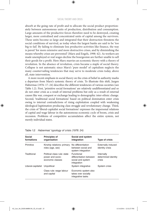⊕

absorb at the going rate of profit and to allocate the social product proportionately between autonomous units of production, distribution and consumption. Large amounts of the productive forces therefore need to be destroyed, creating larger, more centralised and concentrated units of capital among the survivors. These units become so large and integrated that their destruction threatens the social conditions of survival, as today when the largest banks are said to be 'too big to fail'. By failing to eliminate less productive activities like finance, the way is paved 'for more extensive and more destructive crises, and by diminishing the means whereby crises are prevented' (Marx and Engels, 1998: 42). As workers are made unemployed or real wages decline the bourgeoisie are further unable to sell their goods for a profit. Here Marx marries an economic theory with a theory of revolution. In the absence of revolution, crisis became a staple of social theory. Collapse is not automatic since Marx's 'pure model' of capitalism neglects the many countervailing tendencies that may serve to moderate crisis today, above all, state intervention.

A more recent emphasis in social theory on the crisis of belief in authority marks a departure from Marx's systemic theory of crisis. To illustrate this shift, Jurgen Habermas (1976: 17–24) describes the different tendencies of various societies (see Table 1.2). First, 'primitive social formations' are relatively undifferentiated and so do not enter crisis as a result of internal problems but only as a result of external causes like war, conquest or exchange leading to demographic inter-ethnic change. Second, 'traditional social formations' based on political domination enter crisis owing to internal contradictions of rising exploitation coupled with weakening ideological legitimation producing class struggle and revolutionary change. Third, the crisis of 'liberal-capitalist social formations' expresses the impersonal relations of capital and wage labour in the autonomous economic cycle of boom, crisis and recession. Problems of competitive accumulation affect the entire system, not merely individual states.

| Social<br>formations | <b>Principles of</b><br>organisation                                | Social and system<br>integration                                          | Type of crisis                              |
|----------------------|---------------------------------------------------------------------|---------------------------------------------------------------------------|---------------------------------------------|
| Primitive            | Kinship relations: primary<br>roles (age, sex)                      | No differentiation<br>between social and<br>system integration            | Externally induced<br>identity crisis       |
| Traditional          | Political class rule: state<br>power and socio-<br>economic classes | Functional<br>differentiation between<br>social and system<br>integration | Internally<br>determined identity<br>crisis |
| Liberal-capitalist   | Unpolitical                                                         | System integrative                                                        | System crisis                               |
|                      | Class rule: wage labour<br>and capital                              | Economic system also<br>takes over socially<br>integrative tasks          |                                             |

Table 1.2 *Habermas' typology of crisis (1976: 24)*

⊕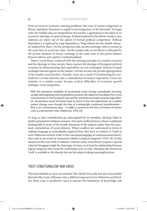⊕

From its roots in 'economic steering problems', the crisis of system integration in liberal capitalism threatens to engulf social integration of the lifeworld. To begin with, the middle class are integrated by the market. Legitimation is founded on an economic ideology of equal exchange. Institutionalised by the labour market, class relations are taken out of the sphere of formal political competition. Political dependency is replaced by wage dependency. Wage labour has the double character analysed by Marx. On the production side, private exchange value is created at the same time as social use value. On the market side, social labour is allocated by the private medium of money exchange at the same time as the power balance between labour and capital is institutionalised.

Marx's social theory analysed both the steering principle of a market economy and the ideology of class society. Marx exposes the ideology of bourgeois political economy by demonstrating that equivalents are not exchanged. Instead of equal exchange between agents in the market, civil law secures the private appropriation of the surplus social product. Periodic crises are a result of transforming the contradiction of class interests into a contradiction of system imperatives. Crises are endemic to a market society because cyclical difficulties of economic growth endanger social integration.

With the persistent instability of accelerated social change, periodically recurring, socially disintegrating steering problems produce the objective foundation for a crisis consciousness in the bourgeois class and for revolutionary hopes among wage laborers. No previous social formation lived so much in fear and expectation of a sudden system change, even though the idea of a temporally condensed transformation – that is, of a revolutionary leap – is oddly in contrast to the form of motion of system crisis as a permanent crisis. (Habermas, 1976: 25)

So long as class contradictions go unrecognised by its members, ideology helps to justify asymmetrical relations of power. Any open conflict between classes is explained ideologically in terms of the hostile intentions of the subjects rather than the structural contradiction of social interests. Where conflicts are understood in terms of ordinary language as immediately empirical then they have no relation to 'truth' as such. Habermas restricts 'truth' to the conceptual language of communications theory since only it can reveal an 'immanent relation to logical categories' (1976: 28). In this situation of the non-truth of ordinary common sense, social theory acquires a special value for bringing to light the deep logic of crises, or at least the relationship between logical categories that reveal the underlying roots of crisis. Paradoxically, theoretical 'truth' is available to the theorist but not the subjects taking meaningful action.

## 'POST-STRUCTURALISM' AND CRISIS

Theorists labelled as 'post-structuralist' like Michel Foucault, but also structuralist theorists like Louis Althusser, take a different approach from Habermas and Beck. For them crisis is productive since it exposes the limitations of knowledge and

◈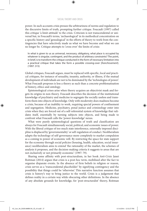⊕

power. In such accounts crisis presses the arbitrariness of norms and regulation to the discursive limits of truth, prompting further critique. Foucault (1997) called this critique 'a limit-attitude' to the crisis. Criticism is not transcendental or universal but, in Foucault's terms, 'archaeological' in its methodical concentration on a specific history and 'genealogical' in the efforts of theory to work from the contingencies that have selectively made us what we have become and what we can no longer be. Critique attempts to 'cross over' the limits of crisis:

In what is given to us as universal, necessary, obligatory, what place is occupied by whatever is singular, contingent, and the product of arbitrary constraints? The point, in brief, is to transform the critique conducted in the form of necessary limitation into a practical critique that takes the form a possible crossing-over [*franchissement*]. (1997: 315)

Global critiques, Foucault argues, must be replaced with specific, local and practical critiques, for instance of sexuality, insanity, authority, or illness, if the mutual development of individuals are not to be dominated by the 'technologies of power'. What Foucault proposes is less a theory as such than a concrete problematisation of history, ethics and ontology.

Epistemological crises arise when theory acquires an objectivist mask and forgets its origins in non-theory. Foucault describes the decision of the institutional knowledge of psychiatry and medicine to segregate the socially useless and transform them into objects of knowledge. Only with modernity does madness become a crisis, because of an inability to work, requiring special powers of confinement and segregation. Medicine, psychiatry, penal justice and criminology enter into crisis when they are forced out of a self-referential system of knowledge that validates itself, essentially by turning subjects into objects, and being made to confront what Foucault calls the 'power-knowledge' nexus.

What were purely epistemological questions of truth and classification are always for Foucault simultaneously social, political, and economic issues of power. With the liberal critique of too much state interference, externally imposed discipline is displaced by 'governmentality' or self-regulation of conduct. Neoliberalism adapts the technology of self-governance more completely to market compulsion as a coming to power of economic will. By restricting the space for state support for the economy through social policies (housing, health, education, social insurance) neoliberalism aims to extend 'the rationality of the market, the schemes of analysis it proposes, and the decision-making criteria it suggests to areas that are not exclusively or not primarily economic' (1997: 79).

Sharing some affinity with post-structuralism, in her book *Anti-Crisis* Janet Roitman (2014) argues that crisis is a post-hoc term, mobilised after the fact to organise disparate events. In the absence of firm beliefs in religion or reason, crisis serves as a 'transcendental placeholder' by signifying contingency and the possibility that things could be 'otherwise'. This narrative function assumes that crisis is history's way to bring justice to the world. Crisis is a judgement that defines reality in a certain way while obscuring other definitions. In the absence of any absolute grounds for knowledge, for 'post-structuralist' theory, Roitman

⊕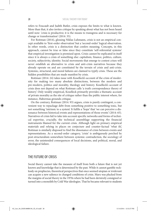⊕

refers to Foucault and Judith Butler, crisis exposes the limits to what is known. More than that, it also invites critique by speaking about what has not been heard until now: 'crisis is productive; it is the means to transgress and is necessary for change or transformation' (2014: 35).

For Roitman (2014), glossing Niklas Luhmann, crisis is not an empirical concept available to 'first-order observation' but a 'second-order' logical observation. In other words, crisis is a distinction that confers meaning. Concepts, in this approach, cannot be true or false since they constitute 'self-referential systems' that empirical investigation is premised upon. Crisis cannot be explicated in itself since it is always a crisis of something else: capitalism, finance, politics, culture, society, subjectivity, identity. Social movements that emerge to contest crises will never establish an alternative to crisis and anti-crisis narratives because they already operate on and are constituted by the terrain of crisis and anti-crisis. Systemic, structural, and moral failures are claimed to typify crisis. These are the hidden possibilities that are made manifest by crisis.

Roitman (2014: 24) takes issue with Koselleck's account of the crisis of modernity for making too many absolute distinctions, between the modern and pre-modern, politics and morality, theology and history. Koselleck's account of crisis does not depend on what Roitman calls 'a truth correspondence theory of history'. Only weakly empirical, Koselleck primarily provides a thematic account of private morality as the site of critique rather than the public interest where, for instance, Habermas grounds critique.

On the contrary, Roitman (2014: 93) argues, crisis is purely contingent, a convenient way to repackage debt from something positive to something toxic, but not something 'intrinsic to a system'. It fulfils a 'hope' that 'we can perceive a dissonance between historical events and representations of those events' (2014: 65). Narratives of crisis fail to take into account specific networks and forms of technical expertise, crucially, the technical assemblage supporting the financial instruments blamed for the current crisis. Although light on primary empirical materials and relying in places on conjecture and counter-factual 'what ifs', Roitman is similarly disposed to find the dissonance of crisis between events and representations. As a second-order category, 'crisis' is ambiguously perched by post-structuralism somewhere between systemic contradiction, the sociology of error, the unintended consequences of local decisions, and political, moral, and ideological failure.

# THE FUTURE OF CRISIS

Social theory cannot take the measure of itself from both a future that is not yet known and knowledge that is determined by the past. While it cannot gamble recklessly on prophecies, theoretical perspectives that once seemed utopian or irrelevant can acquire a new salience in changed conditions of crisis. Marx was plucked from the margins of social theory in the 1970s where he had been derisively consigned or turned into a monolith by Cold War ideologies. That he became relevant to students

⊕